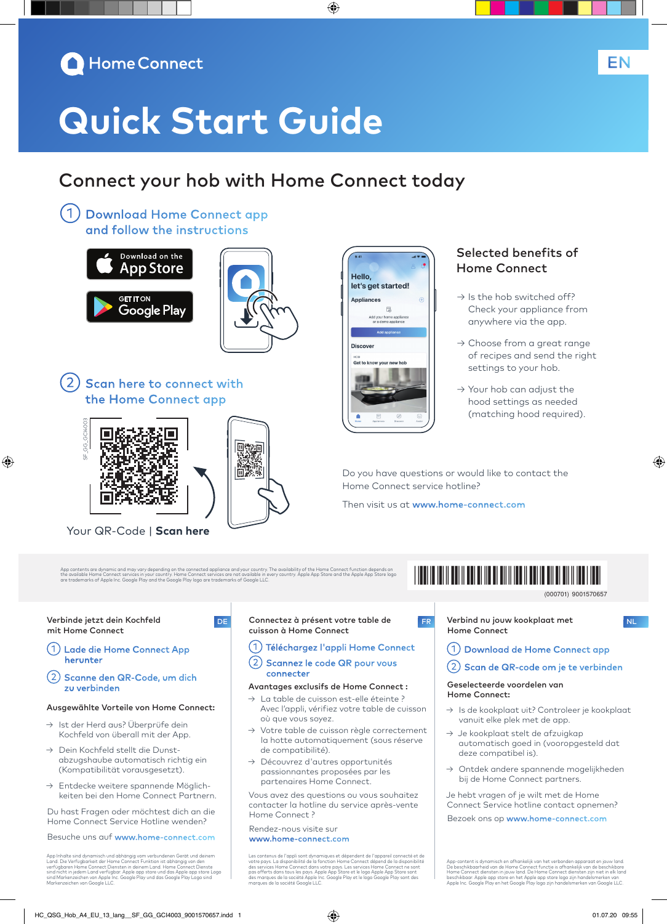

# **Quick Start Guide**

## Connect your hob with Home Connect today

◈

①Download Home Connect app and follow the instructions





2) Scan here to connect with the Home Connect app



Your QR-Code | **Scan here**

Hello. let's get started! **Appliances**  $\mathbb{R}$ **Discover** Get to know your new hob

#### Selected benefits of Home Connect

- $\rightarrow$  Is the hob switched off? Check your appliance from anywhere via the app.
- $\rightarrow$  Choose from a great range of recipes and send the right settings to your hob.
- $\rightarrow$  Your hob can adjust the hood settings as needed (matching hood required).

Do you have questions or would like to contact the Home Connect service hotline?

Then visit us at www.home-connect.com

App contents are dynamic and may vary depending on the connected appliance and your country. The availability of the Home Connect function depends on<br>the available Home Connect services in your country. Home Connect servic

## \*9001570657\*

9001570657 (000701)

Verbinde jetzt dein Kochfeld mit Home Connect

⊕

- ①Lade die Home Connect App herunter
- ②Scanne den QR-Code, um dich zu verbinden

#### Ausgewählte Vorteile von Home Connect:

- → Ist der Herd aus? Überprüfe dein Kochfeld von überall mit der App.
- → Dein Kochfeld stellt die Dunstabzugshaube automatisch richtig ein (Kompatibilität vorausgesetzt).
- → Entdecke weitere spannende Möglichkeiten bei den Home Connect Partnern.

Du hast Fragen oder möchtest dich an die Home Connect Service Hotline wenden?

Besuche uns auf www.home-connect.com

App Inhalte sind dynamisch und abhängig vom verbundenen Gerät und deinem<br>Land. Die Verfügbarkeit der Home Connect Funktion ist abhängig von den<br>verfügbaren Home Connect Diensten in deinem Land. Home Connect Dienste<br>sind ni

#### Connectez à présent votre table de cuisson à Home Connect DE Connectez à présent votre table de **FRALIE Verbind nu jouw kookplaat met langu**ng to

#### ①Téléchargez l'appli Home Connect

#### ②Scannez le code QR pour vous connecter

#### Avantages exclusifs de Home Connect :

- → La table de cuisson est-elle éteinte ? Avec l'appli, vérifiez votre table de cuisson où que vous soyez.
- → Votre table de cuisson règle correctement la hotte automatiquement (sous réserve de compatibilité).
- → Découvrez d'autres opportunités passionnantes proposées par les partenaires Home Connect.

Vous avez des questions ou vous souhaitez contacter la hotline du service après-vente Home Connect ?

#### Rendez-nous visite sur

#### www.home-connect.com

Les contenus de l'appli sont dynamiques et dépendent de l'appareil connecté et de<br>votre pays. La disponibilité de la fonction Home Connect dépend de la disponibilité<br>des services Home Connect dans votre pays. Les services

Home Connect

◈

EN

①Download de Home Connect app

### ②Scan de QR-code om je te verbinden

#### Geselecteerde voordelen van Home Connect:

- → Is de kookplaat uit? Controleer je kookplaat vanuit elke plek met de app.
- → Je kookplaat stelt de afzuigkap automatisch goed in (vooropgesteld dat deze compatibel is).
- → Ontdek andere spannende mogelijkheden bij de Home Connect partners.

Je hebt vragen of je wilt met de Home Connect Service hotline contact opnemen? Bezoek ons op www.home-connect.com

App-content is dynamisch en afhankelijk van het verbonden apparaat en jouw land.<br>De beschikbaarheid van de Home Connect functie is ofhankelijk van de beschikbare<br>Home Connect diensten in jouw land. De Home Connect diensten